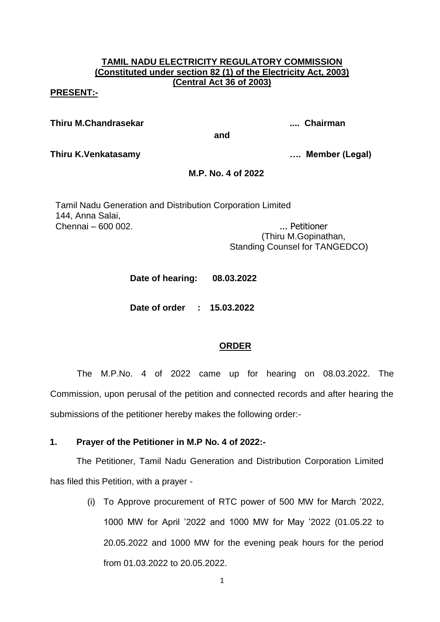## **TAMIL NADU ELECTRICITY REGULATORY COMMISSION (Constituted under section 82 (1) of the Electricity Act, 2003) (Central Act 36 of 2003)**

#### **PRESENT:-**

**Thiru M.Chandrasekar .... Chairman**

**and**

**Thiru K.Venkatasamy …. Member (Legal)**

### **M.P. No. 4 of 2022**

Tamil Nadu Generation and Distribution Corporation Limited 144, Anna Salai, Chennai – 600 002. ... Petitioner

 (Thiru M.Gopinathan, Standing Counsel for TANGEDCO)

**Date of hearing: 08.03.2022**

**Date of order : 15.03.2022**

# **ORDER**

The M.P.No. 4 of 2022 came up for hearing on 08.03.2022. The Commission, upon perusal of the petition and connected records and after hearing the submissions of the petitioner hereby makes the following order:-

### **1. Prayer of the Petitioner in M.P No. 4 of 2022:-**

The Petitioner, Tamil Nadu Generation and Distribution Corporation Limited has filed this Petition, with a prayer -

> (i) To Approve procurement of RTC power of 500 MW for March '2022, 1000 MW for April '2022 and 1000 MW for May '2022 (01.05.22 to 20.05.2022 and 1000 MW for the evening peak hours for the period from 01.03.2022 to 20.05.2022.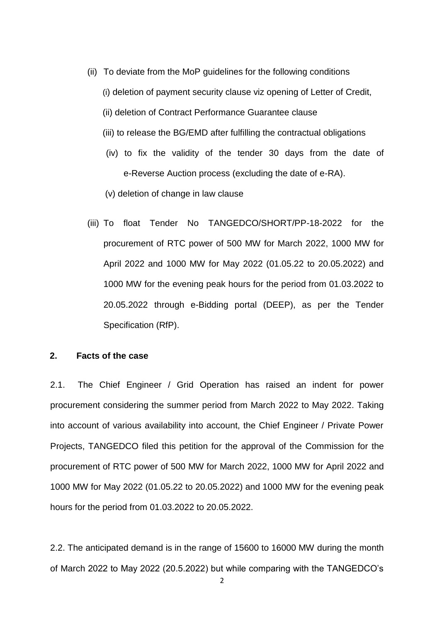- (ii) To deviate from the MoP guidelines for the following conditions
	- (i) deletion of payment security clause viz opening of Letter of Credit,
	- (ii) deletion of Contract Performance Guarantee clause
	- (iii) to release the BG/EMD after fulfilling the contractual obligations
	- (iv) to fix the validity of the tender 30 days from the date of e-Reverse Auction process (excluding the date of e-RA).
	- (v) deletion of change in law clause
- (iii) To float Tender No TANGEDCO/SHORT/PP-18-2022 for the procurement of RTC power of 500 MW for March 2022, 1000 MW for April 2022 and 1000 MW for May 2022 (01.05.22 to 20.05.2022) and 1000 MW for the evening peak hours for the period from 01.03.2022 to 20.05.2022 through e-Bidding portal (DEEP), as per the Tender Specification (RfP).

#### **2. Facts of the case**

2.1. The Chief Engineer / Grid Operation has raised an indent for power procurement considering the summer period from March 2022 to May 2022. Taking into account of various availability into account, the Chief Engineer / Private Power Projects, TANGEDCO filed this petition for the approval of the Commission for the procurement of RTC power of 500 MW for March 2022, 1000 MW for April 2022 and 1000 MW for May 2022 (01.05.22 to 20.05.2022) and 1000 MW for the evening peak hours for the period from 01.03.2022 to 20.05.2022.

2.2. The anticipated demand is in the range of 15600 to 16000 MW during the month of March 2022 to May 2022 (20.5.2022) but while comparing with the TANGEDCO's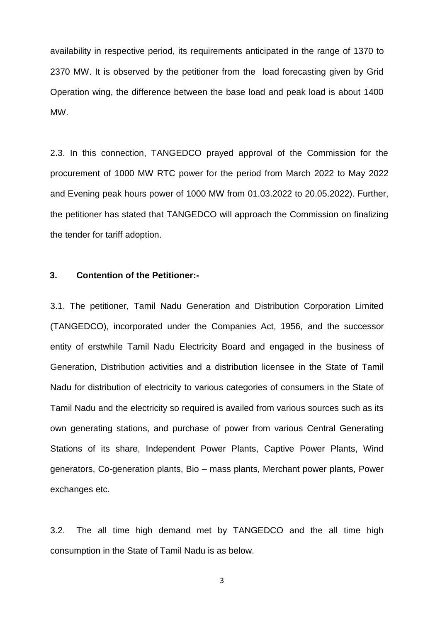availability in respective period, its requirements anticipated in the range of 1370 to 2370 MW. It is observed by the petitioner from the load forecasting given by Grid Operation wing, the difference between the base load and peak load is about 1400 MW.

2.3. In this connection, TANGEDCO prayed approval of the Commission for the procurement of 1000 MW RTC power for the period from March 2022 to May 2022 and Evening peak hours power of 1000 MW from 01.03.2022 to 20.05.2022). Further, the petitioner has stated that TANGEDCO will approach the Commission on finalizing the tender for tariff adoption.

### **3. Contention of the Petitioner:-**

3.1. The petitioner, Tamil Nadu Generation and Distribution Corporation Limited (TANGEDCO), incorporated under the Companies Act, 1956, and the successor entity of erstwhile Tamil Nadu Electricity Board and engaged in the business of Generation, Distribution activities and a distribution licensee in the State of Tamil Nadu for distribution of electricity to various categories of consumers in the State of Tamil Nadu and the electricity so required is availed from various sources such as its own generating stations, and purchase of power from various Central Generating Stations of its share, Independent Power Plants, Captive Power Plants, Wind generators, Co-generation plants, Bio – mass plants, Merchant power plants, Power exchanges etc.

3.2. The all time high demand met by TANGEDCO and the all time high consumption in the State of Tamil Nadu is as below.

3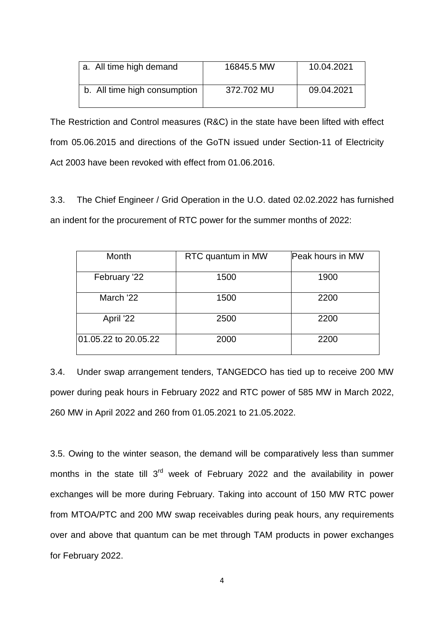| a. All time high demand      | 16845.5 MW | 10.04.2021 |
|------------------------------|------------|------------|
| b. All time high consumption | 372.702 MU | 09.04.2021 |

The Restriction and Control measures (R&C) in the state have been lifted with effect from 05.06.2015 and directions of the GoTN issued under Section-11 of Electricity Act 2003 have been revoked with effect from 01.06.2016.

3.3. The Chief Engineer / Grid Operation in the U.O. dated 02.02.2022 has furnished an indent for the procurement of RTC power for the summer months of 2022:

| Month                | RTC quantum in MW | Peak hours in MW |
|----------------------|-------------------|------------------|
| February '22         | 1500              | 1900             |
| March '22            | 1500              | 2200             |
| April '22            | 2500              | 2200             |
| 01.05.22 to 20.05.22 | 2000              | 2200             |

3.4. Under swap arrangement tenders, TANGEDCO has tied up to receive 200 MW power during peak hours in February 2022 and RTC power of 585 MW in March 2022, 260 MW in April 2022 and 260 from 01.05.2021 to 21.05.2022.

3.5. Owing to the winter season, the demand will be comparatively less than summer months in the state till  $3<sup>rd</sup>$  week of February 2022 and the availability in power exchanges will be more during February. Taking into account of 150 MW RTC power from MTOA/PTC and 200 MW swap receivables during peak hours, any requirements over and above that quantum can be met through TAM products in power exchanges for February 2022.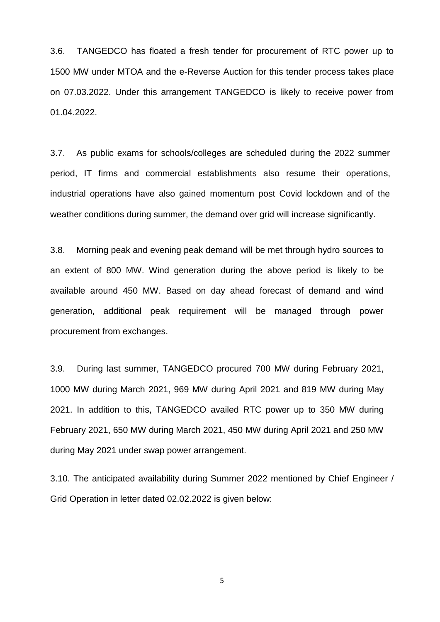3.6. TANGEDCO has floated a fresh tender for procurement of RTC power up to 1500 MW under MTOA and the e-Reverse Auction for this tender process takes place on 07.03.2022. Under this arrangement TANGEDCO is likely to receive power from 01.04.2022.

3.7. As public exams for schools/colleges are scheduled during the 2022 summer period, IT firms and commercial establishments also resume their operations, industrial operations have also gained momentum post Covid lockdown and of the weather conditions during summer, the demand over grid will increase significantly.

3.8. Morning peak and evening peak demand will be met through hydro sources to an extent of 800 MW. Wind generation during the above period is likely to be available around 450 MW. Based on day ahead forecast of demand and wind generation, additional peak requirement will be managed through power procurement from exchanges.

3.9. During last summer, TANGEDCO procured 700 MW during February 2021, 1000 MW during March 2021, 969 MW during April 2021 and 819 MW during May 2021. In addition to this, TANGEDCO availed RTC power up to 350 MW during February 2021, 650 MW during March 2021, 450 MW during April 2021 and 250 MW during May 2021 under swap power arrangement.

3.10. The anticipated availability during Summer 2022 mentioned by Chief Engineer / Grid Operation in letter dated 02.02.2022 is given below:

5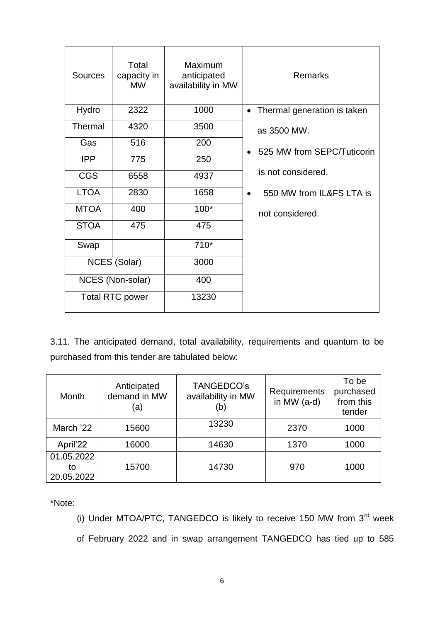| Sources     | Total<br>capacity in<br><b>MW</b> | Maximum<br>anticipated<br>availability in MW | <b>Remarks</b>                           |
|-------------|-----------------------------------|----------------------------------------------|------------------------------------------|
| Hydro       | 2322                              | 1000                                         | Thermal generation is taken<br>$\bullet$ |
| Thermal     | 4320                              | 3500                                         | as 3500 MW.                              |
| Gas         | 516                               | 200                                          | 525 MW from SEPC/Tuticorin               |
| <b>IPP</b>  | 775                               | 250                                          |                                          |
| <b>CGS</b>  | 6558                              | 4937                                         | is not considered.                       |
| <b>LTOA</b> | 2830                              | 1658                                         | 550 MW from IL&FS LTA is<br>$\bullet$    |
| <b>MTOA</b> | 400                               | $100*$                                       | not considered.                          |
| <b>STOA</b> | 475                               | 475                                          |                                          |
| Swap        |                                   | $710*$                                       |                                          |
|             | <b>NCES (Solar)</b>               | 3000                                         |                                          |
|             | NCES (Non-solar)                  | 400                                          |                                          |
|             | <b>Total RTC power</b>            | 13230                                        |                                          |

3.11. The anticipated demand, total availability, requirements and quantum to be purchased from this tender are tabulated below:

| <b>Month</b>                   | Anticipated<br>demand in MW<br>(a) | TANGEDCO's<br>availability in MW<br>(b) | Requirements<br>in MW $(a-d)$ | To be<br>purchased<br>from this<br>tender |
|--------------------------------|------------------------------------|-----------------------------------------|-------------------------------|-------------------------------------------|
| March '22                      | 15600                              | 13230                                   | 2370                          | 1000                                      |
| April'22                       | 16000                              | 14630                                   | 1370                          | 1000                                      |
| 01.05.2022<br>to<br>20.05.2022 | 15700                              | 14730                                   | 970                           | 1000                                      |

\*Note:

(i) Under MTOA/PTC, TANGEDCO is likely to receive 150 MW from  $3<sup>rd</sup>$  week of February 2022 and in swap arrangement TANGEDCO has tied up to 585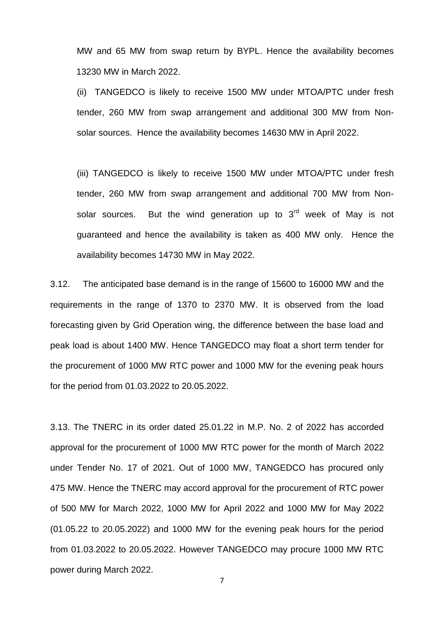MW and 65 MW from swap return by BYPL. Hence the availability becomes 13230 MW in March 2022.

(ii) TANGEDCO is likely to receive 1500 MW under MTOA/PTC under fresh tender, 260 MW from swap arrangement and additional 300 MW from Nonsolar sources. Hence the availability becomes 14630 MW in April 2022.

(iii) TANGEDCO is likely to receive 1500 MW under MTOA/PTC under fresh tender, 260 MW from swap arrangement and additional 700 MW from Nonsolar sources. But the wind generation up to  $3<sup>rd</sup>$  week of May is not guaranteed and hence the availability is taken as 400 MW only. Hence the availability becomes 14730 MW in May 2022.

3.12. The anticipated base demand is in the range of 15600 to 16000 MW and the requirements in the range of 1370 to 2370 MW. It is observed from the load forecasting given by Grid Operation wing, the difference between the base load and peak load is about 1400 MW. Hence TANGEDCO may float a short term tender for the procurement of 1000 MW RTC power and 1000 MW for the evening peak hours for the period from 01.03.2022 to 20.05.2022.

3.13. The TNERC in its order dated 25.01.22 in M.P. No. 2 of 2022 has accorded approval for the procurement of 1000 MW RTC power for the month of March 2022 under Tender No. 17 of 2021. Out of 1000 MW, TANGEDCO has procured only 475 MW. Hence the TNERC may accord approval for the procurement of RTC power of 500 MW for March 2022, 1000 MW for April 2022 and 1000 MW for May 2022 (01.05.22 to 20.05.2022) and 1000 MW for the evening peak hours for the period from 01.03.2022 to 20.05.2022. However TANGEDCO may procure 1000 MW RTC power during March 2022.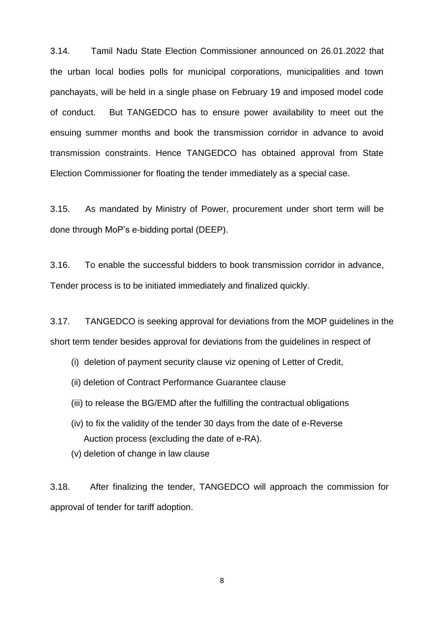3.14. Tamil Nadu State Election Commissioner announced on 26.01.2022 that the urban local bodies polls for municipal corporations, municipalities and town panchayats, will be held in a single phase on February 19 and imposed model code of conduct. But TANGEDCO has to ensure power availability to meet out the ensuing summer months and book the transmission corridor in advance to avoid transmission constraints. Hence TANGEDCO has obtained approval from State Election Commissioner for floating the tender immediately as a special case.

3.15. As mandated by Ministry of Power, procurement under short term will be done through MoP's e-bidding portal (DEEP).

3.16. To enable the successful bidders to book transmission corridor in advance, Tender process is to be initiated immediately and finalized quickly.

3.17. TANGEDCO is seeking approval for deviations from the MOP guidelines in the short term tender besides approval for deviations from the guidelines in respect of

- (i) deletion of payment security clause viz opening of Letter of Credit,
- (ii) deletion of Contract Performance Guarantee clause
- (iii) to release the BG/EMD after the fulfilling the contractual obligations
- (iv) to fix the validity of the tender 30 days from the date of e-Reverse Auction process (excluding the date of e-RA).
- (v) deletion of change in law clause

3.18. After finalizing the tender, TANGEDCO will approach the commission for approval of tender for tariff adoption.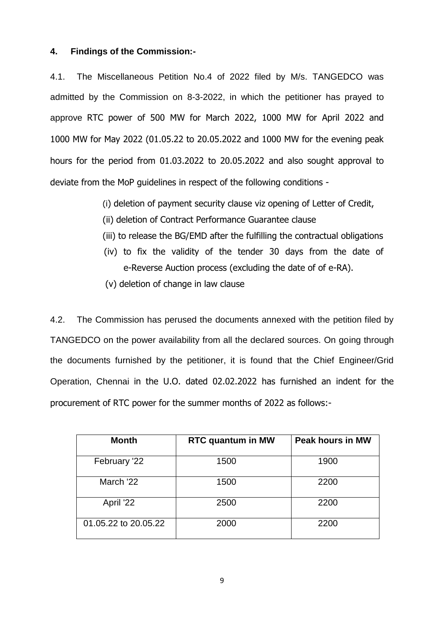### **4. Findings of the Commission:-**

4.1. The Miscellaneous Petition No.4 of 2022 filed by M/s. TANGEDCO was admitted by the Commission on 8-3-2022, in which the petitioner has prayed to approve RTC power of 500 MW for March 2022, 1000 MW for April 2022 and 1000 MW for May 2022 (01.05.22 to 20.05.2022 and 1000 MW for the evening peak hours for the period from 01.03.2022 to 20.05.2022 and also sought approval to deviate from the MoP guidelines in respect of the following conditions -

(i) deletion of payment security clause viz opening of Letter of Credit,

- (ii) deletion of Contract Performance Guarantee clause
- (iii) to release the BG/EMD after the fulfilling the contractual obligations
- (iv) to fix the validity of the tender 30 days from the date of e-Reverse Auction process (excluding the date of of e-RA).
- (v) deletion of change in law clause

4.2. The Commission has perused the documents annexed with the petition filed by TANGEDCO on the power availability from all the declared sources. On going through the documents furnished by the petitioner, it is found that the Chief Engineer/Grid Operation, Chennai in the U.O. dated 02.02.2022 has furnished an indent for the procurement of RTC power for the summer months of 2022 as follows:-

| <b>Month</b>         | <b>RTC quantum in MW</b> | <b>Peak hours in MW</b> |
|----------------------|--------------------------|-------------------------|
| February '22         | 1500                     | 1900                    |
| March '22            | 1500                     | 2200                    |
| April '22            | 2500                     | 2200                    |
| 01.05.22 to 20.05.22 | 2000                     | 2200                    |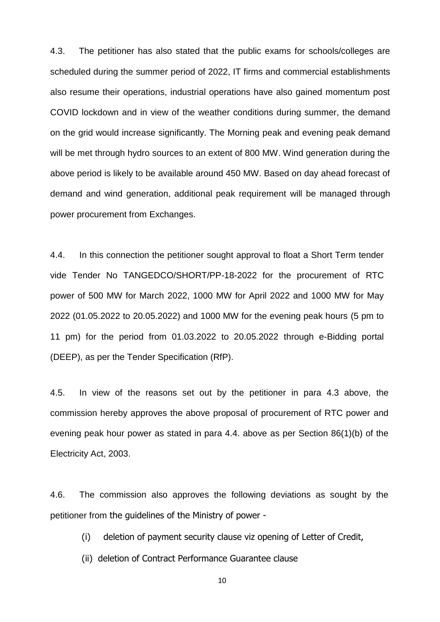4.3. The petitioner has also stated that the public exams for schools/colleges are scheduled during the summer period of 2022, IT firms and commercial establishments also resume their operations, industrial operations have also gained momentum post COVID lockdown and in view of the weather conditions during summer, the demand on the grid would increase significantly. The Morning peak and evening peak demand will be met through hydro sources to an extent of 800 MW. Wind generation during the above period is likely to be available around 450 MW. Based on day ahead forecast of demand and wind generation, additional peak requirement will be managed through power procurement from Exchanges.

4.4. In this connection the petitioner sought approval to float a Short Term tender vide Tender No TANGEDCO/SHORT/PP-18-2022 for the procurement of RTC power of 500 MW for March 2022, 1000 MW for April 2022 and 1000 MW for May 2022 (01.05.2022 to 20.05.2022) and 1000 MW for the evening peak hours (5 pm to 11 pm) for the period from 01.03.2022 to 20.05.2022 through e-Bidding portal (DEEP), as per the Tender Specification (RfP).

4.5. In view of the reasons set out by the petitioner in para 4.3 above, the commission hereby approves the above proposal of procurement of RTC power and evening peak hour power as stated in para 4.4. above as per Section 86(1)(b) of the Electricity Act, 2003.

4.6. The commission also approves the following deviations as sought by the petitioner from the guidelines of the Ministry of power -

- (i) deletion of payment security clause viz opening of Letter of Credit,
- (ii) deletion of Contract Performance Guarantee clause

10